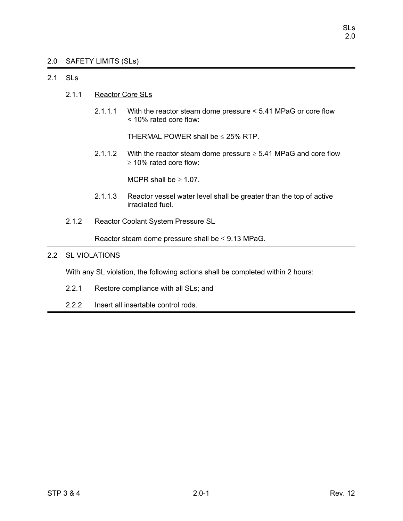# 2.0 SAFETY LIMITS (SLs)

# 2.1 SLs

- 2.1.1 Reactor Core SLs
	- 2.1.1.1 With the reactor steam dome pressure < 5.41 MPaG or core flow < 10% rated core flow:

THERMAL POWER shall be  $\leq$  25% RTP.

2.1.1.2 With the reactor steam dome pressure  $\geq$  5.41 MPaG and core flow ≥ 10% rated core flow:

MCPR shall be  $\geq 1.07$ .

- 2.1.1.3 Reactor vessel water level shall be greater than the top of active irradiated fuel.
- 2.1.2 Reactor Coolant System Pressure SL

Reactor steam dome pressure shall be  $\leq$  9.13 MPaG.

# 2.2 SL VIOLATIONS

With any SL violation, the following actions shall be completed within 2 hours:

- 2.2.1 Restore compliance with all SLs; and
- 2.2.2 Insert all insertable control rods.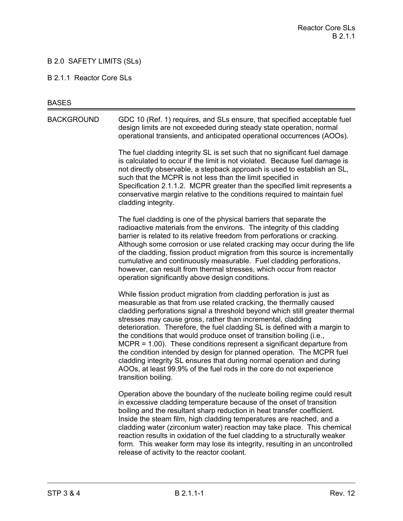# B 2.0 SAFETY LIMITS (SLs)

#### B 2.1.1 Reactor Core SLs

#### **BASES**

BACKGROUND GDC 10 (Ref. 1) requires, and SLs ensure, that specified acceptable fuel design limits are not exceeded during steady state operation, normal operational transients, and anticipated operational occurrences (AOOs).

> The fuel cladding integrity SL is set such that no significant fuel damage is calculated to occur if the limit is not violated. Because fuel damage is not directly observable, a stepback approach is used to establish an SL, such that the MCPR is not less than the limit specified in Specification 2.1.1.2. MCPR greater than the specified limit represents a conservative margin relative to the conditions required to maintain fuel cladding integrity.

The fuel cladding is one of the physical barriers that separate the radioactive materials from the environs. The integrity of this cladding barrier is related to its relative freedom from perforations or cracking. Although some corrosion or use related cracking may occur during the life of the cladding, fission product migration from this source is incrementally cumulative and continuously measurable. Fuel cladding perforations, however, can result from thermal stresses, which occur from reactor operation significantly above design conditions.

While fission product migration from cladding perforation is just as measurable as that from use related cracking, the thermally caused cladding perforations signal a threshold beyond which still greater thermal stresses may cause gross, rather than incremental, cladding deterioration. Therefore, the fuel cladding SL is defined with a margin to the conditions that would produce onset of transition boiling (i.e., MCPR = 1.00). These conditions represent a significant departure from the condition intended by design for planned operation. The MCPR fuel cladding integrity SL ensures that during normal operation and during AOOs, at least 99.9% of the fuel rods in the core do not experience transition boiling.

Operation above the boundary of the nucleate boiling regime could result in excessive cladding temperature because of the onset of transition boiling and the resultant sharp reduction in heat transfer coefficient. Inside the steam film, high cladding temperatures are reached, and a cladding water (zirconium water) reaction may take place. This chemical reaction results in oxidation of the fuel cladding to a structurally weaker form. This weaker form may lose its integrity, resulting in an uncontrolled release of activity to the reactor coolant.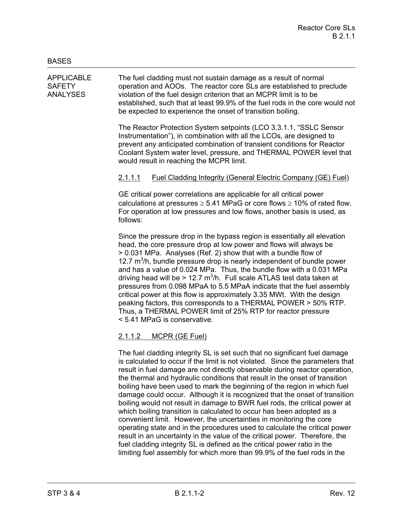APPLICABLE The fuel cladding must not sustain damage as a result of normal SAFETY operation and AOOs. The reactor core SLs are established to preclude ANALYSES violation of the fuel design criterion that an MCPR limit is to be established, such that at least 99.9% of the fuel rods in the core would not be expected to experience the onset of transition boiling.

> The Reactor Protection System setpoints (LCO 3.3.1.1, "SSLC Sensor Instrumentation"), in combination with all the LCOs, are designed to prevent any anticipated combination of transient conditions for Reactor Coolant System water level, pressure, and THERMAL POWER level that would result in reaching the MCPR limit.

# 2.1.1.1 Fuel Cladding Integrity (General Electric Company (GE) Fuel)

GE critical power correlations are applicable for all critical power calculations at pressures  $\geq 5.41$  MPaG or core flows  $\geq 10\%$  of rated flow. For operation at low pressures and low flows, another basis is used, as follows:

Since the pressure drop in the bypass region is essentially all elevation head, the core pressure drop at low power and flows will always be > 0.031 MPa. Analyses (Ref. 2) show that with a bundle flow of 12.7  $m<sup>3</sup>/h$ , bundle pressure drop is nearly independent of bundle power and has a value of 0.024 MPa. Thus, the bundle flow with a 0.031 MPa driving head will be > 12.7  $m^3/h$ . Full scale ATLAS test data taken at pressures from 0.098 MPaA to 5.5 MPaA indicate that the fuel assembly critical power at this flow is approximately 3.35 MWt. With the design peaking factors, this corresponds to a THERMAL POWER > 50% RTP. Thus, a THERMAL POWER limit of 25% RTP for reactor pressure < 5.41 MPaG is conservative.

# 2.1.1.2 MCPR (GE Fuel)

The fuel cladding integrity SL is set such that no significant fuel damage is calculated to occur if the limit is not violated. Since the parameters that result in fuel damage are not directly observable during reactor operation, the thermal and hydraulic conditions that result in the onset of transition boiling have been used to mark the beginning of the region in which fuel damage could occur. Although it is recognized that the onset of transition boiling would not result in damage to BWR fuel rods, the critical power at which boiling transition is calculated to occur has been adopted as a convenient limit. However, the uncertainties in monitoring the core operating state and in the procedures used to calculate the critical power result in an uncertainty in the value of the critical power. Therefore, the fuel cladding integrity SL is defined as the critical power ratio in the limiting fuel assembly for which more than 99.9% of the fuel rods in the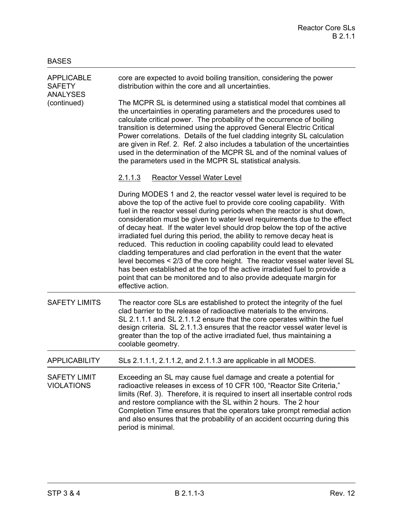| <b>APPLICABLE</b><br><b>SAFETY</b><br><b>ANALYSES</b><br>(continued) | core are expected to avoid boiling transition, considering the power<br>distribution within the core and all uncertainties.                                                                                                                                                                                                                                                                                                                                                                                                                                                                                                                                                                                                                                                                                                                                                   |
|----------------------------------------------------------------------|-------------------------------------------------------------------------------------------------------------------------------------------------------------------------------------------------------------------------------------------------------------------------------------------------------------------------------------------------------------------------------------------------------------------------------------------------------------------------------------------------------------------------------------------------------------------------------------------------------------------------------------------------------------------------------------------------------------------------------------------------------------------------------------------------------------------------------------------------------------------------------|
|                                                                      | The MCPR SL is determined using a statistical model that combines all<br>the uncertainties in operating parameters and the procedures used to<br>calculate critical power. The probability of the occurrence of boiling<br>transition is determined using the approved General Electric Critical<br>Power correlations. Details of the fuel cladding integrity SL calculation<br>are given in Ref. 2. Ref. 2 also includes a tabulation of the uncertainties<br>used in the determination of the MCPR SL and of the nominal values of<br>the parameters used in the MCPR SL statistical analysis.                                                                                                                                                                                                                                                                             |
|                                                                      | Reactor Vessel Water Level<br>2.1.1.3                                                                                                                                                                                                                                                                                                                                                                                                                                                                                                                                                                                                                                                                                                                                                                                                                                         |
|                                                                      | During MODES 1 and 2, the reactor vessel water level is required to be<br>above the top of the active fuel to provide core cooling capability. With<br>fuel in the reactor vessel during periods when the reactor is shut down,<br>consideration must be given to water level requirements due to the effect<br>of decay heat. If the water level should drop below the top of the active<br>irradiated fuel during this period, the ability to remove decay heat is<br>reduced. This reduction in cooling capability could lead to elevated<br>cladding temperatures and clad perforation in the event that the water<br>level becomes < 2/3 of the core height. The reactor vessel water level SL<br>has been established at the top of the active irradiated fuel to provide a<br>point that can be monitored and to also provide adequate margin for<br>effective action. |
| <b>SAFETY LIMITS</b>                                                 | The reactor core SLs are established to protect the integrity of the fuel<br>clad barrier to the release of radioactive materials to the environs.<br>SL 2.1.1.1 and SL 2.1.1.2 ensure that the core operates within the fuel<br>design criteria. SL 2.1.1.3 ensures that the reactor vessel water level is<br>greater than the top of the active irradiated fuel, thus maintaining a<br>coolable geometry.                                                                                                                                                                                                                                                                                                                                                                                                                                                                   |
| <b>APPLICABILITY</b>                                                 | SLs 2.1.1.1, 2.1.1.2, and 2.1.1.3 are applicable in all MODES.                                                                                                                                                                                                                                                                                                                                                                                                                                                                                                                                                                                                                                                                                                                                                                                                                |
| <b>SAFETY LIMIT</b><br><b>VIOLATIONS</b>                             | Exceeding an SL may cause fuel damage and create a potential for<br>radioactive releases in excess of 10 CFR 100, "Reactor Site Criteria,"<br>limits (Ref. 3). Therefore, it is required to insert all insertable control rods<br>and restore compliance with the SL within 2 hours. The 2 hour<br>Completion Time ensures that the operators take prompt remedial action<br>and also ensures that the probability of an accident occurring during this<br>period is minimal.                                                                                                                                                                                                                                                                                                                                                                                                 |

BASES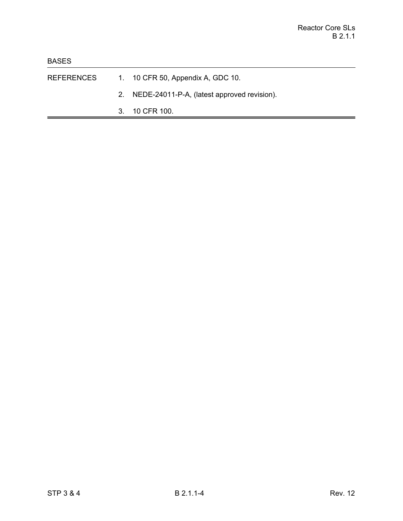- REFERENCES 1. 10 CFR 50, Appendix A, GDC 10.
	- 2. NEDE-24011-P-A, (latest approved revision).
	- 3. 10 CFR 100.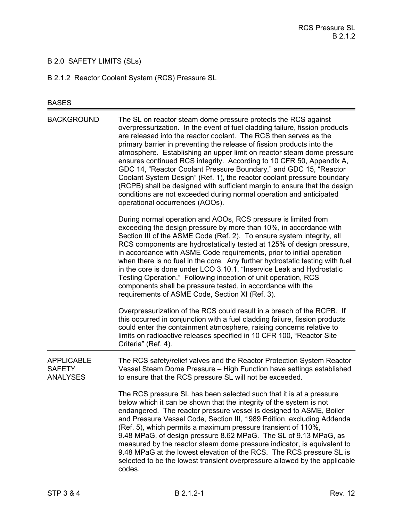# B 2.0 SAFETY LIMITS (SLs)

B 2.1.2 Reactor Coolant System (RCS) Pressure SL

# BASES

| <b>BACKGROUND</b>                                     | The SL on reactor steam dome pressure protects the RCS against<br>overpressurization. In the event of fuel cladding failure, fission products<br>are released into the reactor coolant. The RCS then serves as the<br>primary barrier in preventing the release of fission products into the<br>atmosphere. Establishing an upper limit on reactor steam dome pressure<br>ensures continued RCS integrity. According to 10 CFR 50, Appendix A,<br>GDC 14, "Reactor Coolant Pressure Boundary," and GDC 15, "Reactor<br>Coolant System Design" (Ref. 1), the reactor coolant pressure boundary<br>(RCPB) shall be designed with sufficient margin to ensure that the design<br>conditions are not exceeded during normal operation and anticipated<br>operational occurrences (AOOs). |
|-------------------------------------------------------|--------------------------------------------------------------------------------------------------------------------------------------------------------------------------------------------------------------------------------------------------------------------------------------------------------------------------------------------------------------------------------------------------------------------------------------------------------------------------------------------------------------------------------------------------------------------------------------------------------------------------------------------------------------------------------------------------------------------------------------------------------------------------------------|
|                                                       | During normal operation and AOOs, RCS pressure is limited from<br>exceeding the design pressure by more than 10%, in accordance with<br>Section III of the ASME Code (Ref. 2). To ensure system integrity, all<br>RCS components are hydrostatically tested at 125% of design pressure,<br>in accordance with ASME Code requirements, prior to initial operation<br>when there is no fuel in the core. Any further hydrostatic testing with fuel<br>in the core is done under LCO 3.10.1, "Inservice Leak and Hydrostatic<br>Testing Operation." Following inception of unit operation, RCS<br>components shall be pressure tested, in accordance with the<br>requirements of ASME Code, Section XI (Ref. 3).                                                                        |
|                                                       | Overpressurization of the RCS could result in a breach of the RCPB. If<br>this occurred in conjunction with a fuel cladding failure, fission products<br>could enter the containment atmosphere, raising concerns relative to<br>limits on radioactive releases specified in 10 CFR 100, "Reactor Site<br>Criteria" (Ref. 4).                                                                                                                                                                                                                                                                                                                                                                                                                                                        |
| <b>APPLICABLE</b><br><b>SAFETY</b><br><b>ANALYSES</b> | The RCS safety/relief valves and the Reactor Protection System Reactor<br>Vessel Steam Dome Pressure - High Function have settings established<br>to ensure that the RCS pressure SL will not be exceeded.                                                                                                                                                                                                                                                                                                                                                                                                                                                                                                                                                                           |
|                                                       | The RCS pressure SL has been selected such that it is at a pressure<br>below which it can be shown that the integrity of the system is not<br>endangered. The reactor pressure vessel is designed to ASME, Boiler<br>and Pressure Vessel Code, Section III, 1989 Edition, excluding Addenda<br>(Ref. 5), which permits a maximum pressure transient of 110%,<br>9.48 MPaG, of design pressure 8.62 MPaG. The SL of 9.13 MPaG, as<br>measured by the reactor steam dome pressure indicator, is equivalent to<br>9.48 MPaG at the lowest elevation of the RCS. The RCS pressure SL is<br>selected to be the lowest transient overpressure allowed by the applicable<br>codes.                                                                                                          |